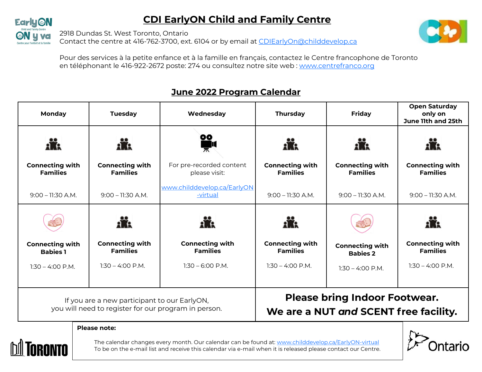# **CDI EarlyON Child and Family Centre**



2918 Dundas St. West Toronto, Ontario

Contact the centre at 416-762-3700, ext. 6104 or by email at [CDIEarlyOn@childdevelop.ca](mailto:CDIEarlyOn@childdevelop.ca)



Pour des services à la petite enfance et à la famille en français, contactez le Centre francophone de Toronto en téléphonant le 416-922-2672 poste: 274 ou consultez notre site web : [www.centrefranco.org](http://www.centrefranco.org)

#### **Open Saturday Monday Tuesday Wednesday Thursday Friday only on June 11th and 25th** 00 ii. iĥ. **Connecting with Connecting with**  For pre-recorded content **Connecting with Connecting with Connecting with Families Families Families Families Families** please visit: [www.childdevelop.ca/EarlyON](http://www.childdevelop.ca/EarlyON-virtual) -[virtual](http://www.childdevelop.ca/EarlyON-virtual) 9:00 – 11:30 A.M. 9:00 – 11:30 A.M. 9:00 – 11:30 A.M. 9:00 – 11:30 A.M. 9:00 – 11:30 A.M. ik. £K **Connecting with Connecting with Connecting with Connecting with Connecting with Connecting with Families Families Families Families Babies 1 Babies 2**  $1:30 - 4:00 \text{ P M}$  $1:30 - 6:00 \text{ P.M.}$  $1:30 - 4:00 \text{ P M}$  $1:30 - 4:00 \text{ P M}$  $1:30 - 4:00$  P.M. 1:30 – 4:00 P.M. **Please bring Indoor Footwear.**  If you are a new participant to our EarlyON, you will need to register for our program in person. **We are a NUT** *and* **SCENT free facility. Please note:**

## **June 2022 Program Calendar**



The calendar changes every month. Our calendar can be found at: [www.childdevelop.ca/EarlyON](http://www.childdevelop.ca/EarlyON-virtual)-virtual To be on the e-mail list and receive this calendar via e-mail when it is released please contact our Centre.